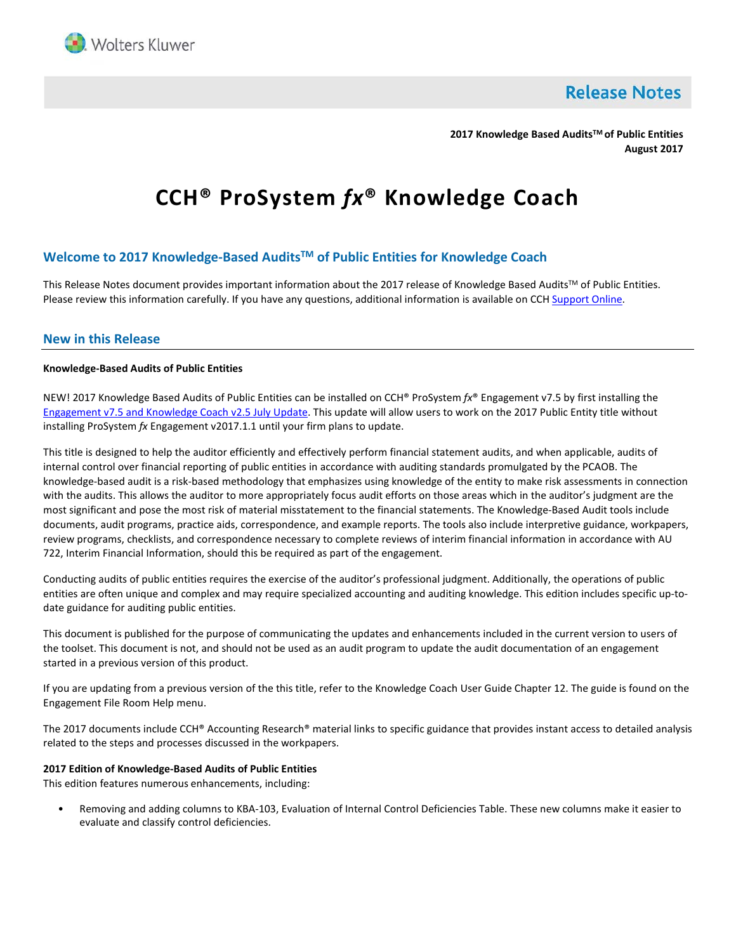

**Release Notes** 

**2017 Knowledge Based AuditsTM of Public Entities August 2017**

# **CCH® ProSystem** *fx***® Knowledge Coach**

# **Welcome to 2017 Knowledge-Based AuditsTM of Public Entities for Knowledge Coach**

This Release Notes document provides important information about the 2017 release of Knowledge Based Audits™ of Public Entities. Please review this information carefully. If you have any questions, additional information is available on CC[H Support Online.](http://support.cch.com/productsupport/)

## **New in this Release**

## **Knowledge-Based Audits of Public Entities**

NEW! 2017 Knowledge Based Audits of Public Entities can be installed on CCH® ProSystem *fx*® Engagement v7.5 by first installing the [Engagement v7.5 and](https://support.cch.com/updates/Engagement/patch75/patch75.aspx) Knowledge Coach v2.5 July Update. This update will allow users to work on the 2017 Public Entity title without installing ProSystem *fx* Engagement v2017.1.1 until your firm plans to update.

This title is designed to help the auditor efficiently and effectively perform financial statement audits, and when applicable, audits of internal control over financial reporting of public entities in accordance with auditing standards promulgated by the PCAOB. The knowledge-based audit is a risk-based methodology that emphasizes using knowledge of the entity to make risk assessments in connection with the audits. This allows the auditor to more appropriately focus audit efforts on those areas which in the auditor's judgment are the most significant and pose the most risk of material misstatement to the financial statements. The Knowledge-Based Audit tools include documents, audit programs, practice aids, correspondence, and example reports. The tools also include interpretive guidance, workpapers, review programs, checklists, and correspondence necessary to complete reviews of interim financial information in accordance with AU 722, Interim Financial Information, should this be required as part of the engagement.

Conducting audits of public entities requires the exercise of the auditor's professional judgment. Additionally, the operations of public entities are often unique and complex and may require specialized accounting and auditing knowledge. This edition includes specific up-todate guidance for auditing public entities.

This document is published for the purpose of communicating the updates and enhancements included in the current version to users of the toolset. This document is not, and should not be used as an audit program to update the audit documentation of an engagement started in a previous version of this product.

If you are updating from a previous version of the this title, refer to the Knowledge Coach User Guide Chapter 12. The guide is found on the Engagement File Room Help menu.

The 2017 documents include CCH® Accounting Research® material links to specific guidance that provides instant access to detailed analysis related to the steps and processes discussed in the workpapers.

#### **2017 Edition of Knowledge-Based Audits of Public Entities**

This edition features numerous enhancements, including:

• Removing and adding columns to KBA-103, Evaluation of Internal Control Deficiencies Table. These new columns make it easier to evaluate and classify control deficiencies.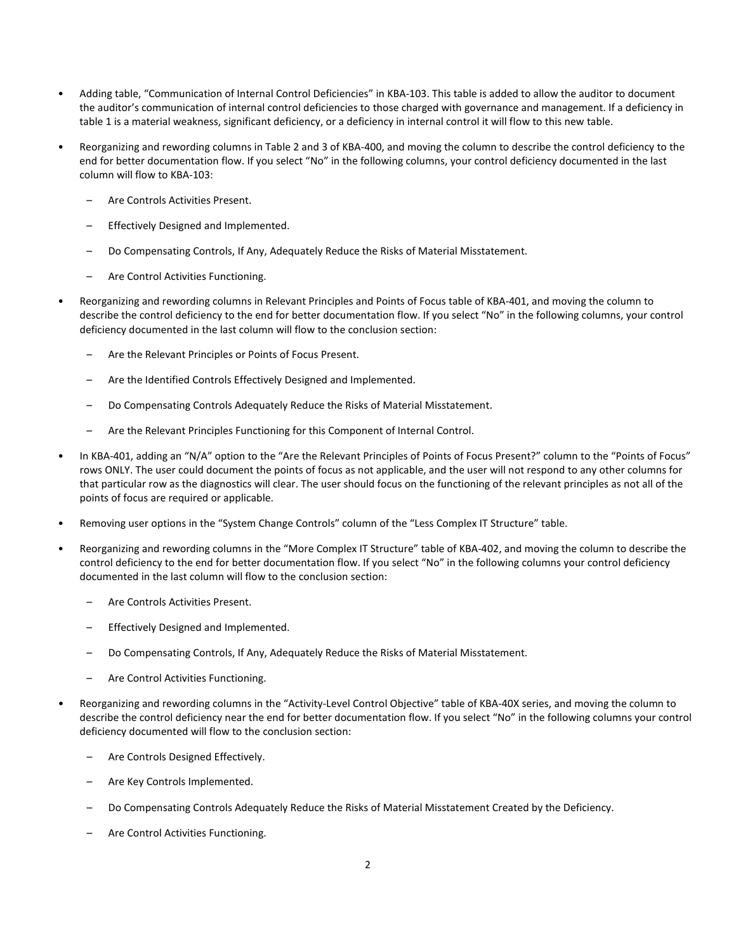- Adding table, "Communication of Internal Control Deficiencies" in KBA-103. This table is added to allow the auditor to document the auditor's communication of internal control deficiencies to those charged with governance and management. If a deficiency in table 1 is a material weakness, significant deficiency, or a deficiency in internal control it will flow to this new table.
- Reorganizing and rewording columns in Table 2 and 3 of KBA-400, and moving the column to describe the control deficiency to the end for better documentation flow. If you select "No" in the following columns, your control deficiency documented in the last column will flow to KBA-103:
	- Are Controls Activities Present.
	- Effectively Designed and Implemented.
	- Do Compensating Controls, If Any, Adequately Reduce the Risks of Material Misstatement.
	- Are Control Activities Functioning.
- Reorganizing and rewording columns in Relevant Principles and Points of Focus table of KBA-401, and moving the column to describe the control deficiency to the end for better documentation flow. If you select "No" in the following columns, your control deficiency documented in the last column will flow to the conclusion section:
	- Are the Relevant Principles or Points of Focus Present.
	- Are the Identified Controls Effectively Designed and Implemented.
	- Do Compensating Controls Adequately Reduce the Risks of Material Misstatement.
	- Are the Relevant Principles Functioning for this Component of Internal Control.
- In KBA-401, adding an "N/A" option to the "Are the Relevant Principles of Points of Focus Present?" column to the "Points of Focus" rows ONLY. The user could document the points of focus as not applicable, and the user will not respond to any other columns for that particular row as the diagnostics will clear. The user should focus on the functioning of the relevant principles as not all of the points of focus are required or applicable.
- Removing user options in the "System Change Controls" column of the "Less Complex IT Structure" table.
- Reorganizing and rewording columns in the "More Complex IT Structure" table of KBA-402, and moving the column to describe the control deficiency to the end for better documentation flow. If you select "No" in the following columns your control deficiency documented in the last column will flow to the conclusion section:
	- Are Controls Activities Present.
	- Effectively Designed and Implemented.
	- Do Compensating Controls, If Any, Adequately Reduce the Risks of Material Misstatement.
	- Are Control Activities Functioning.
- Reorganizing and rewording columns in the "Activity-Level Control Objective" table of KBA-40X series, and moving the column to describe the control deficiency near the end for better documentation flow. If you select "No" in the following columns your control deficiency documented will flow to the conclusion section:
	- Are Controls Designed Effectively.
	- Are Key Controls Implemented.
	- Do Compensating Controls Adequately Reduce the Risks of Material Misstatement Created by the Deficiency.
	- Are Control Activities Functioning.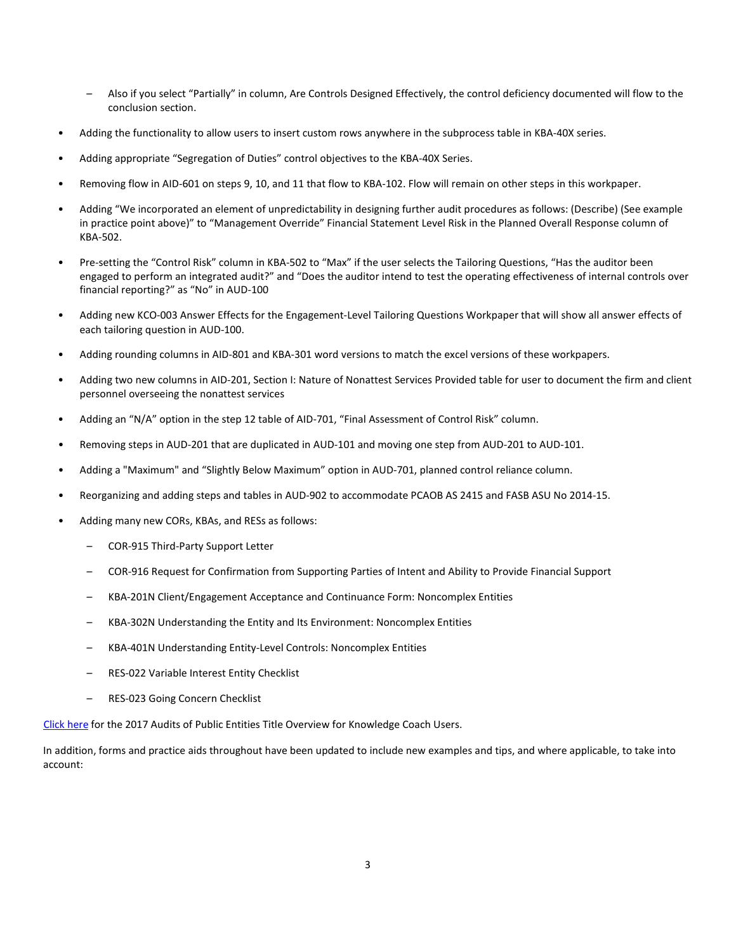- Also if you select "Partially" in column, Are Controls Designed Effectively, the control deficiency documented will flow to the conclusion section.
- Adding the functionality to allow users to insert custom rows anywhere in the subprocess table in KBA-40X series.
- Adding appropriate "Segregation of Duties" control objectives to the KBA-40X Series.
- Removing flow in AID-601 on steps 9, 10, and 11 that flow to KBA-102. Flow will remain on other steps in this workpaper.
- Adding "We incorporated an element of unpredictability in designing further audit procedures as follows: (Describe) (See example in practice point above)" to "Management Override" Financial Statement Level Risk in the Planned Overall Response column of KBA-502.
- Pre-setting the "Control Risk" column in KBA-502 to "Max" if the user selects the Tailoring Questions, "Has the auditor been engaged to perform an integrated audit?" and "Does the auditor intend to test the operating effectiveness of internal controls over financial reporting?" as "No" in AUD-100
- Adding new KCO-003 Answer Effects for the Engagement-Level Tailoring Questions Workpaper that will show all answer effects of each tailoring question in AUD-100.
- Adding rounding columns in AID-801 and KBA-301 word versions to match the excel versions of these workpapers.
- Adding two new columns in AID-201, Section I: Nature of Nonattest Services Provided table for user to document the firm and client personnel overseeing the nonattest services
- Adding an "N/A" option in the step 12 table of AID-701, "Final Assessment of Control Risk" column.
- Removing steps in AUD-201 that are duplicated in AUD-101 and moving one step from AUD-201 to AUD-101.
- Adding a "Maximum" and "Slightly Below Maximum" option in AUD-701, planned control reliance column.
- Reorganizing and adding steps and tables in AUD-902 to accommodate PCAOB AS 2415 and FASB ASU No 2014-15.
- Adding many new CORs, KBAs, and RESs as follows:
	- COR-915 Third-Party Support Letter
	- COR-916 Request for Confirmation from Supporting Parties of Intent and Ability to Provide Financial Support
	- KBA-201N Client/Engagement Acceptance and Continuance Form: Noncomplex Entities
	- KBA-302N Understanding the Entity and Its Environment: Noncomplex Entities
	- KBA-401N Understanding Entity-Level Controls: Noncomplex Entities
	- RES-022 Variable Interest Entity Checklist
	- RES-023 Going Concern Checklist

[Click here](http://support.cch.com/updates/KnowledgeCoach/pdf/guides_tab/2017%20Public%20Entities%20Title%20Overview%20for%20Knowledge%20Coach%20Users.pdf) for the 2017 Audits of Public Entities Title Overview for Knowledge Coach Users.

In addition, forms and practice aids throughout have been updated to include new examples and tips, and where applicable, to take into account: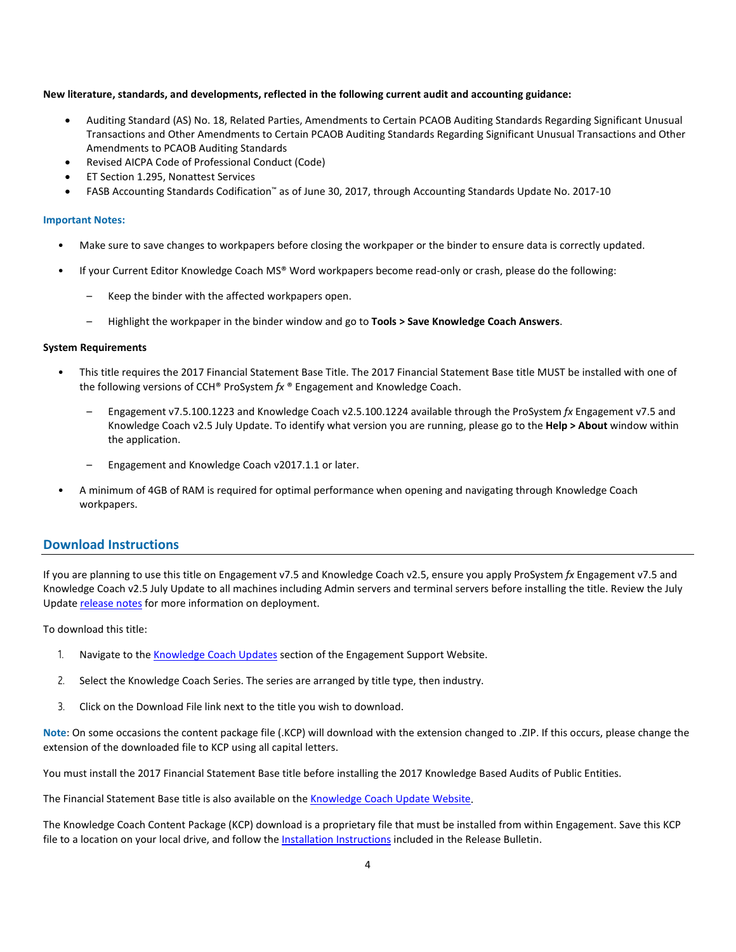#### **New literature, standards, and developments, reflected in the following current audit and accounting guidance:**

- Auditing Standard (AS) No. 18, Related Parties, Amendments to Certain PCAOB Auditing Standards Regarding Significant Unusual Transactions and Other Amendments to Certain PCAOB Auditing Standards Regarding Significant Unusual Transactions and Other Amendments to PCAOB Auditing Standards
- Revised AICPA Code of Professional Conduct (Code)
- ET Section 1.295, Nonattest Services
- FASB Accounting Standards Codification™ as of June 30, 2017, through Accounting Standards Update No. 2017-10

#### **Important Notes:**

- Make sure to save changes to workpapers before closing the workpaper or the binder to ensure data is correctly updated.
- If your Current Editor Knowledge Coach MS® Word workpapers become read-only or crash, please do the following:
	- Keep the binder with the affected workpapers open.
	- Highlight the workpaper in the binder window and go to **Tools > Save Knowledge Coach Answers**.

#### **System Requirements**

- This title requires the 2017 Financial Statement Base Title. The 2017 Financial Statement Base title MUST be installed with one of the following versions of CCH® ProSystem *fx* ® Engagement and Knowledge Coach.
	- Engagement v7.5.100.1223 and Knowledge Coach v2.5.100.1224 available through the ProSystem *fx* Engagement v7.5 and Knowledge Coach v2.5 July Update. To identify what version you are running, please go to the **Help > About** window within the application.
	- Engagement and Knowledge Coach v2017.1.1 or later.
- A minimum of 4GB of RAM is required for optimal performance when opening and navigating through Knowledge Coach workpapers.

## **Download Instructions**

If you are planning to use this title on Engagement v7.5 and Knowledge Coach v2.5, ensure you apply ProSystem *fx* Engagement v7.5 and Knowledge Coach v2.5 July Update to all machines including Admin servers and terminal servers before installing the title. Review the July Update [release notes](https://support.cch.com/updates/Engagement/patch75/Engagement%20and%20KC%20July%202017%20Update%20Release%20Notes.pdf) for more information on deployment.

To download this title:

- 1. Navigate to the [Knowledge Coach Updates](http://support.cch.com/updates/KnowledgeCoach) section of the Engagement Support Website.
- 2. Select the Knowledge Coach Series. The series are arranged by title type, then industry.
- 3. Click on the Download File link next to the title you wish to download.

**Note**: On some occasions the content package file (.KCP) will download with the extension changed to .ZIP. If this occurs, please change the extension of the downloaded file to KCP using all capital letters.

You must install the 2017 Financial Statement Base title before installing the 2017 Knowledge Based Audits of Public Entities.

The Financial Statement Base title is also available on th[e Knowledge Coach Update Website.](http://support.cch.com/updates/KnowledgeCoach)

The Knowledge Coach Content Package (KCP) download is a proprietary file that must be installed from within Engagement. Save this KCP file to a location on your local drive, and follow the **Installation Instructions** included in the Release Bulletin.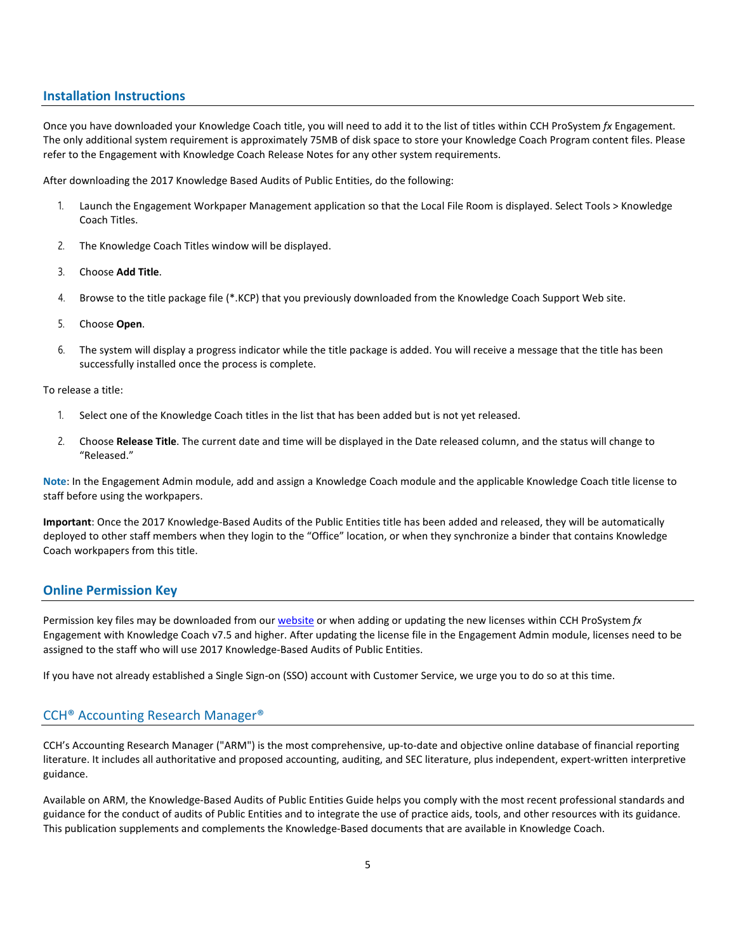## **Installation Instructions**

Once you have downloaded your Knowledge Coach title, you will need to add it to the list of titles within CCH ProSystem *fx* Engagement. The only additional system requirement is approximately 75MB of disk space to store your Knowledge Coach Program content files. Please refer to the Engagement with Knowledge Coach Release Notes for any other system requirements.

After downloading the 2017 Knowledge Based Audits of Public Entities, do the following:

- 1. Launch the Engagement Workpaper Management application so that the Local File Room is displayed. Select Tools > Knowledge Coach Titles.
- 2. The Knowledge Coach Titles window will be displayed.
- 3. Choose **Add Title**.
- 4. Browse to the title package file (\*.KCP) that you previously downloaded from the Knowledge Coach Support Web site.
- 5. Choose **Open**.
- 6. The system will display a progress indicator while the title package is added. You will receive a message that the title has been successfully installed once the process is complete.

To release a title:

- 1. Select one of the Knowledge Coach titles in the list that has been added but is not yet released.
- 2. Choose **Release Title**. The current date and time will be displayed in the Date released column, and the status will change to "Released."

**Note**: In the Engagement Admin module, add and assign a Knowledge Coach module and the applicable Knowledge Coach title license to staff before using the workpapers.

**Important**: Once the 2017 Knowledge-Based Audits of the Public Entities title has been added and released, they will be automatically deployed to other staff members when they login to the "Office" location, or when they synchronize a binder that contains Knowledge Coach workpapers from this title.

## **Online Permission Key**

Permission key files may be downloaded from ou[r website](https://prosystemfxsupport.tax.cchgroup.com/permkey/download.aspx) or when adding or updating the new licenses within CCH ProSystem *fx* Engagement with Knowledge Coach v7.5 and higher. After updating the license file in the Engagement Admin module, licenses need to be assigned to the staff who will use 2017 Knowledge-Based Audits of Public Entities.

If you have not already established a Single Sign-on (SSO) account with Customer Service, we urge you to do so at this time.

## CCH® Accounting Research Manager®

CCH's Accounting Research Manager ("ARM") is the most comprehensive, up-to-date and objective online database of financial reporting literature. It includes all authoritative and proposed accounting, auditing, and SEC literature, plus independent, expert-written interpretive guidance.

Available on ARM, the Knowledge-Based Audits of Public Entities Guide helps you comply with the most recent professional standards and guidance for the conduct of audits of Public Entities and to integrate the use of practice aids, tools, and other resources with its guidance. This publication supplements and complements the Knowledge-Based documents that are available in Knowledge Coach.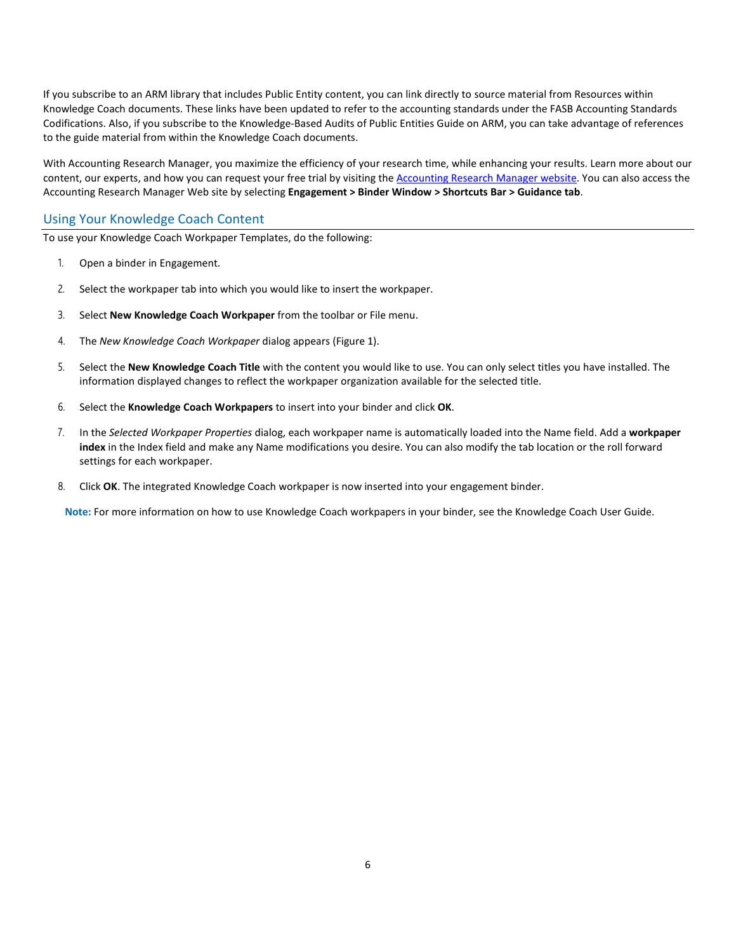If you subscribe to an ARM library that includes Public Entity content, you can link directly to source material from Resources within Knowledge Coach documents. These links have been updated to refer to the accounting standards under the FASB Accounting Standards Codifications. Also, if you subscribe to the Knowledge-Based Audits of Public Entities Guide on ARM, you can take advantage of references to the guide material from within the Knowledge Coach documents.

With Accounting Research Manager, you maximize the efficiency of your research time, while enhancing your results. Learn more about our content, our experts, and how you can request your free trial by visiting the [Accounting Research Manager website.](http://www.accountingresearchmanager.com/) You can also access the Accounting Research Manager Web site by selecting **Engagement > Binder Window > Shortcuts Bar > Guidance tab**.

# Using Your Knowledge Coach Content

To use your Knowledge Coach Workpaper Templates, do the following:

- 1. Open a binder in Engagement.
- 2. Select the workpaper tab into which you would like to insert the workpaper.
- 3. Select **New Knowledge Coach Workpaper** from the toolbar or File menu.
- 4. The *New Knowledge Coach Workpaper* dialog appears (Figure 1).
- 5. Select the **New Knowledge Coach Title** with the content you would like to use. You can only select titles you have installed. The information displayed changes to reflect the workpaper organization available for the selected title.
- 6. Select the **Knowledge Coach Workpapers** to insert into your binder and click **OK**.
- 7. In the *Selected Workpaper Properties* dialog, each workpaper name is automatically loaded into the Name field. Add a **workpaper index** in the Index field and make any Name modifications you desire. You can also modify the tab location or the roll forward settings for each workpaper.
- 8. Click **OK**. The integrated Knowledge Coach workpaper is now inserted into your engagement binder.

**Note:** For more information on how to use Knowledge Coach workpapers in your binder, see the Knowledge Coach User Guide.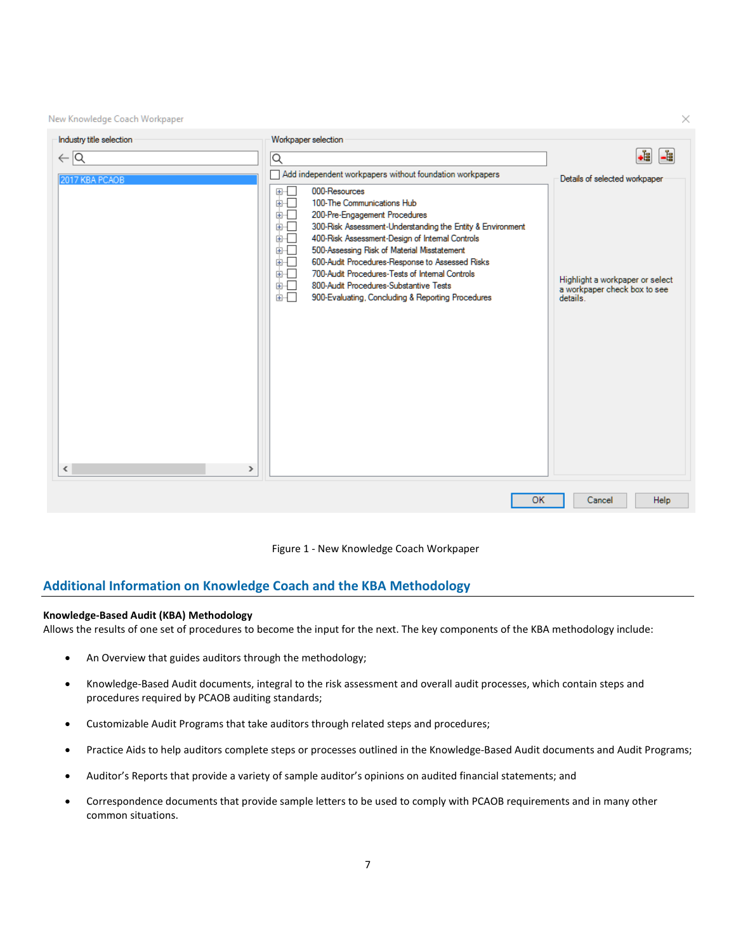New Knowledge Coach Workpaper

| Industry title selection                  | Workpaper selection                                                                                                                                                                                                                                                                                                                                                                                                                                                                                           |                                                                             |
|-------------------------------------------|---------------------------------------------------------------------------------------------------------------------------------------------------------------------------------------------------------------------------------------------------------------------------------------------------------------------------------------------------------------------------------------------------------------------------------------------------------------------------------------------------------------|-----------------------------------------------------------------------------|
| $\leftarrow$ $\vert$ Q                    | Q                                                                                                                                                                                                                                                                                                                                                                                                                                                                                                             | 녬<br>∙È                                                                     |
| 2017 KBA PCAOB                            | Add independent workpapers without foundation workpapers                                                                                                                                                                                                                                                                                                                                                                                                                                                      | Details of selected workpaper                                               |
| $\overline{\phantom{a}}$<br>$\rightarrow$ | 000-Resources<br>田中<br>100-The Communications Hub<br>面叫<br>200-Pre-Engagement Procedures<br>画画<br>300-Risk Assessment-Understanding the Entity & Environment<br>画画<br>400-Risk Assessment-Design of Internal Controls<br>由一<br>500-Assessing Risk of Material Misstatement<br>画「<br>由一<br>600-Audit Procedures-Response to Assessed Risks<br>700-Audit Procedures-Tests of Internal Controls<br>画画<br>800-Audit Procedures-Substantive Tests<br>面一<br>面叫<br>900-Evaluating, Concluding & Reporting Procedures | Highlight a workpaper or select<br>a workpaper check box to see<br>details. |
|                                           | OK                                                                                                                                                                                                                                                                                                                                                                                                                                                                                                            | Help<br>Cancel                                                              |

 $\times$ 



## **Additional Information on Knowledge Coach and the KBA Methodology**

## **Knowledge-Based Audit (KBA) Methodology**

Allows the results of one set of procedures to become the input for the next. The key components of the KBA methodology include:

- An Overview that guides auditors through the methodology;
- Knowledge-Based Audit documents, integral to the risk assessment and overall audit processes, which contain steps and procedures required by PCAOB auditing standards;
- Customizable Audit Programs that take auditors through related steps and procedures;
- Practice Aids to help auditors complete steps or processes outlined in the Knowledge-Based Audit documents and Audit Programs;
- Auditor's Reports that provide a variety of sample auditor's opinions on audited financial statements; and
- Correspondence documents that provide sample letters to be used to comply with PCAOB requirements and in many other common situations.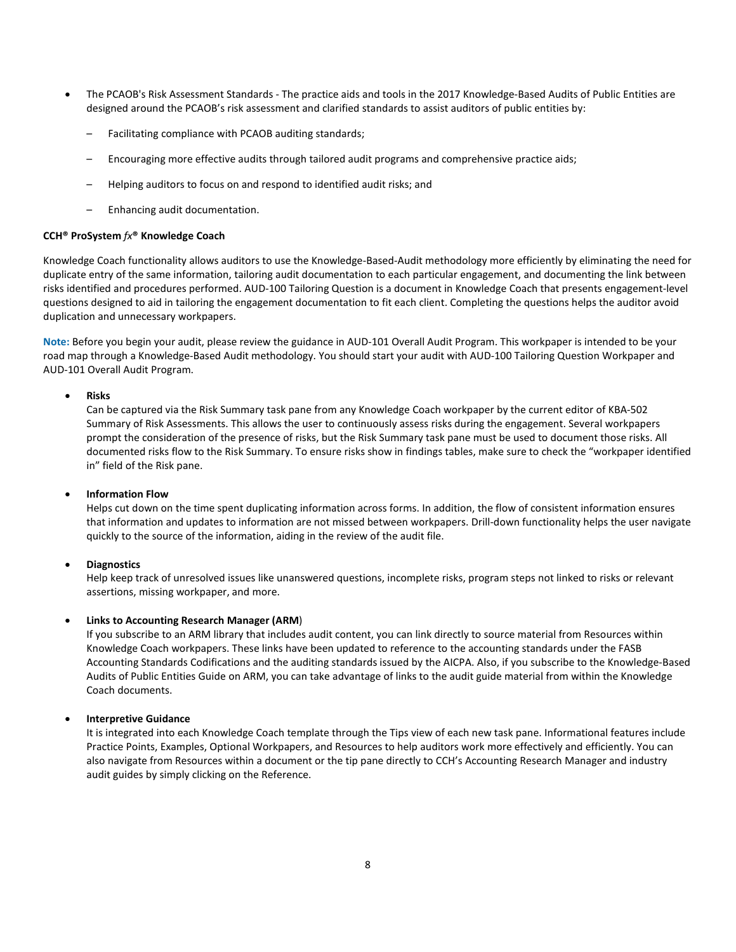- The PCAOB's Risk Assessment Standards The practice aids and tools in the 2017 Knowledge-Based Audits of Public Entities are designed around the PCAOB's risk assessment and clarified standards to assist auditors of public entities by:
	- Facilitating compliance with PCAOB auditing standards;
	- Encouraging more effective audits through tailored audit programs and comprehensive practice aids;
	- Helping auditors to focus on and respond to identified audit risks; and
	- Enhancing audit documentation.

## **CCH® ProSystem** *fx***® Knowledge Coach**

Knowledge Coach functionality allows auditors to use the Knowledge-Based-Audit methodology more efficiently by eliminating the need for duplicate entry of the same information, tailoring audit documentation to each particular engagement, and documenting the link between risks identified and procedures performed. AUD-100 Tailoring Question is a document in Knowledge Coach that presents engagement-level questions designed to aid in tailoring the engagement documentation to fit each client. Completing the questions helps the auditor avoid duplication and unnecessary workpapers.

**Note:** Before you begin your audit, please review the guidance in AUD-101 Overall Audit Program. This workpaper is intended to be your road map through a Knowledge-Based Audit methodology. You should start your audit with AUD-100 Tailoring Question Workpaper and AUD-101 Overall Audit Program.

## • **Risks**

Can be captured via the Risk Summary task pane from any Knowledge Coach workpaper by the current editor of KBA-502 Summary of Risk Assessments. This allows the user to continuously assess risks during the engagement. Several workpapers prompt the consideration of the presence of risks, but the Risk Summary task pane must be used to document those risks. All documented risks flow to the Risk Summary. To ensure risks show in findings tables, make sure to check the "workpaper identified in" field of the Risk pane.

## • **Information Flow**

Helps cut down on the time spent duplicating information across forms. In addition, the flow of consistent information ensures that information and updates to information are not missed between workpapers. Drill-down functionality helps the user navigate quickly to the source of the information, aiding in the review of the audit file.

#### • **Diagnostics**

Help keep track of unresolved issues like unanswered questions, incomplete risks, program steps not linked to risks or relevant assertions, missing workpaper, and more.

## • **Links to Accounting Research Manager (ARM**)

If you subscribe to an ARM library that includes audit content, you can link directly to source material from Resources within Knowledge Coach workpapers. These links have been updated to reference to the accounting standards under the FASB Accounting Standards Codifications and the auditing standards issued by the AICPA. Also, if you subscribe to the Knowledge-Based Audits of Public Entities Guide on ARM, you can take advantage of links to the audit guide material from within the Knowledge Coach documents.

## • **Interpretive Guidance**

It is integrated into each Knowledge Coach template through the Tips view of each new task pane. Informational features include Practice Points, Examples, Optional Workpapers, and Resources to help auditors work more effectively and efficiently. You can also navigate from Resources within a document or the tip pane directly to CCH's Accounting Research Manager and industry audit guides by simply clicking on the Reference.